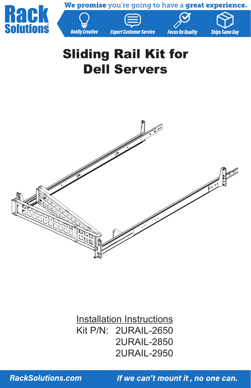We promise you're going to have a great experience.









# Sliding Rail Kit for Dell Servers

**Boldly Creative** 



**Installation Instructions** Kit P/N: 2URAIL-2650 2URAIL-2850 2URAIL-2950

**RackSolutions.com**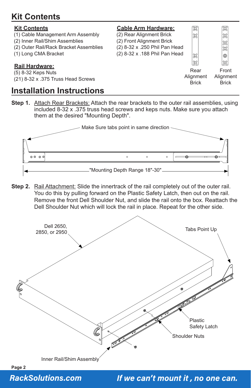# **Kit Contents**

| <b>Kit Contents</b><br>(1) Cable Management Arm Assembly<br>(2) Inner Rail/Shim Assemblies<br>(2) Outer Rail/Rack Bracket Assemblies<br>(1) Long CMA Bracket<br><b>Rail Hardware:</b> | <b>Cable Arm Hardware:</b><br>(2) Rear Alignment Brick<br>(2) Front Alignment Brick<br>(2) 8-32 x .250 Phil Pan Head<br>(2) 8-32 x .188 Phil Pan Head | Æ<br>38<br>နိ<br><u>X</u>         | ऋ<br> 38<br>$\mathfrak{B}$<br> ೫<br> ⊚<br>L |
|---------------------------------------------------------------------------------------------------------------------------------------------------------------------------------------|-------------------------------------------------------------------------------------------------------------------------------------------------------|-----------------------------------|---------------------------------------------|
| (5) 8-32 Keps Nuts<br>(21) 8-32 x .375 Truss Head Screws                                                                                                                              |                                                                                                                                                       | Rear<br>Alignment<br><b>Brick</b> | Front<br>Alignment<br><b>Brick</b>          |

#### **Installation Instructions**

**Step 1.** Attach Rear Brackets: Attach the rear brackets to the outer rail assemblies, using included 8-32 x .375 truss head screws and keps nuts. Make sure you attach them at the desired "Mounting Depth".



**Step 2.** Rail Attachment: Slide the innertrack of the rail completely out of the outer rail. You do this by pulling forward on the Plastic Safety Latch, then out on the rail. Remove the front Dell Shoulder Nut, and slide the rail onto the box. Reattach the Dell Shoulder Nut which will lock the rail in place. Repeat for the other side.





**RackSolutions.com**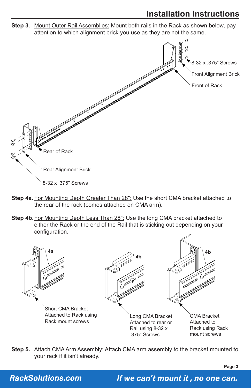## **Installation Instructions**

**Step 3.** Mount Outer Rail Assemblies: Mount both rails in the Rack as shown below, pay attention to which alignment brick you use as they are not the same.



- **Step 4a.** For Mounting Depth Greater Than 28": Use the short CMA bracket attached to the rear of the rack (comes attached on CMA arm).
- **Step 4b.** For Mounting Depth Less Than 28": Use the long CMA bracket attached to either the Rack or the end of the Rail that is sticking out depending on your configuration.



**Step 5.** Attach CMA Arm Assembly: Attach CMA arm assembly to the bracket mounted to your rack if it isn't already.